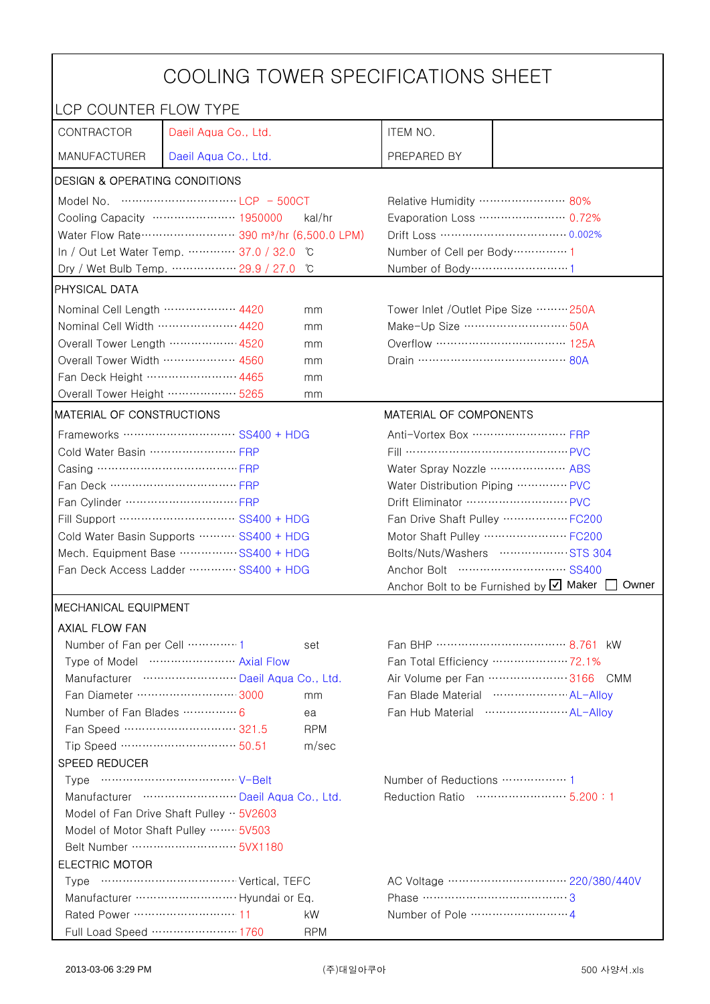|                                                                                            | COOLING TOWER SPECIFICATIONS SHEET                                                                                 |                                                             |                                                   |                                                    |  |
|--------------------------------------------------------------------------------------------|--------------------------------------------------------------------------------------------------------------------|-------------------------------------------------------------|---------------------------------------------------|----------------------------------------------------|--|
| LCP COUNTER FLOW TYPE                                                                      |                                                                                                                    |                                                             |                                                   |                                                    |  |
| CONTRACTOR                                                                                 | Daeil Aqua Co., Ltd.                                                                                               |                                                             | ITEM NO.                                          |                                                    |  |
| <b>MANUFACTURER</b>                                                                        | Daeil Aqua Co., Ltd.                                                                                               |                                                             | PREPARED BY                                       |                                                    |  |
| <b>DESIGN &amp; OPERATING CONDITIONS</b>                                                   |                                                                                                                    |                                                             |                                                   |                                                    |  |
|                                                                                            | Model No. $\cdots$ $\cdots$ $\cdots$ $\cdots$ $\cdots$ $\cdots$ $\cdots$ $\cdots$ $\cdots$ $\vdots$ $\cdots$ 500CT |                                                             | Relative Humidity …………………… 80%                    |                                                    |  |
|                                                                                            | Cooling Capacity ………………… 1950000                                                                                   | kal/hr                                                      |                                                   | Evaporation Loss ………………… 0.72%                     |  |
| Water Flow Rate ··························· 390 m <sup>3</sup> /hr (6,500.0 LPM)           |                                                                                                                    |                                                             |                                                   |                                                    |  |
|                                                                                            | In / Out Let Water Temp.  37.0 / 32.0 °C                                                                           |                                                             | Number of Cell per Body ··············· 1         |                                                    |  |
|                                                                                            | Dry / Wet Bulb Temp.  29.9 / 27.0                                                                                  | °C                                                          | Number of Body ······························1    |                                                    |  |
| PHYSICAL DATA                                                                              |                                                                                                                    |                                                             |                                                   |                                                    |  |
| Nominal Cell Length ……………… 4420                                                            |                                                                                                                    | mm                                                          |                                                   | Tower Inlet /Outlet Pipe Size  250A                |  |
| Nominal Cell Width  4420                                                                   |                                                                                                                    | mm                                                          | Make-Up Size ································ 50A |                                                    |  |
| Overall Tower Length ……………… 4520                                                           |                                                                                                                    | mm                                                          |                                                   | Overflow …………………………… 125A                          |  |
| Overall Tower Width  4560                                                                  |                                                                                                                    | mm                                                          | Drain ………………………………… 80A                           |                                                    |  |
| Fan Deck Height …………………… 4465                                                              |                                                                                                                    | mm                                                          |                                                   |                                                    |  |
| Overall Tower Height ……………… 5265                                                           |                                                                                                                    | mm                                                          |                                                   |                                                    |  |
| <b>MATERIAL OF CONSTRUCTIONS</b>                                                           |                                                                                                                    |                                                             | MATERIAL OF COMPONENTS                            |                                                    |  |
|                                                                                            |                                                                                                                    |                                                             | Anti-Vortex Box ……………………… FRP                     |                                                    |  |
| Cold Water Basin  FRP                                                                      |                                                                                                                    |                                                             | Fill …………………………………… PVC                           |                                                    |  |
|                                                                                            |                                                                                                                    |                                                             | Water Spray Nozzle ………………… ABS                    |                                                    |  |
|                                                                                            |                                                                                                                    |                                                             | Water Distribution Piping  PVC                    |                                                    |  |
|                                                                                            |                                                                                                                    |                                                             | Drift Eliminator  PVC                             |                                                    |  |
| Fill Support ………………………… SS400 + HDG                                                        |                                                                                                                    |                                                             | Fan Drive Shaft Pulley ……………… FC200               |                                                    |  |
| Cold Water Basin Supports  SS400 + HDG                                                     |                                                                                                                    |                                                             | Motor Shaft Pulley  FC200                         |                                                    |  |
| Mech. Equipment Base SS400 + HDG                                                           |                                                                                                                    |                                                             |                                                   | Bolts/Nuts/Washers  STS 304                        |  |
| Fan Deck Access Ladder ………… SS400 + HDG                                                    |                                                                                                                    |                                                             |                                                   |                                                    |  |
|                                                                                            |                                                                                                                    |                                                             |                                                   | Anchor Bolt to be Furnished by Ø Maker [<br>Owner  |  |
| <b>MECHANICAL EQUIPMENT</b>                                                                |                                                                                                                    |                                                             |                                                   |                                                    |  |
| <b>AXIAL FLOW FAN</b>                                                                      |                                                                                                                    |                                                             |                                                   |                                                    |  |
| Number of Fan per Cell  1                                                                  |                                                                                                                    | set                                                         |                                                   |                                                    |  |
|                                                                                            | Type of Model  Axial Flow                                                                                          |                                                             |                                                   | Fan Total Efficiency  72.1%                        |  |
|                                                                                            | Manufacturer  Daeil Aqua Co., Ltd.                                                                                 |                                                             |                                                   | Air Volume per Fan 3166 CMM                        |  |
|                                                                                            | Fan Diameter  3000                                                                                                 | mm                                                          |                                                   | Fan Blade Material ······················ AL-Allov |  |
| Number of Fan Blades  6                                                                    |                                                                                                                    | ea<br><b>RPM</b>                                            |                                                   |                                                    |  |
|                                                                                            | Fan Speed ………………………… 321.5<br>Tip Speed …………………………… 50.51                                                          | m/sec                                                       |                                                   |                                                    |  |
| SPEED REDUCER                                                                              |                                                                                                                    |                                                             |                                                   |                                                    |  |
|                                                                                            |                                                                                                                    |                                                             |                                                   |                                                    |  |
| Manufacturer  Daeil Aqua Co., Ltd.                                                         |                                                                                                                    | Number of Reductions  1<br>Reduction Ratio …………………… 5.200:1 |                                                   |                                                    |  |
|                                                                                            |                                                                                                                    |                                                             |                                                   |                                                    |  |
| Model of Fan Drive Shaft Pulley $\cdot \cdot$ 5V2603<br>Model of Motor Shaft Pulley  5V503 |                                                                                                                    |                                                             |                                                   |                                                    |  |
|                                                                                            |                                                                                                                    |                                                             |                                                   |                                                    |  |
| <b>ELECTRIC MOTOR</b>                                                                      |                                                                                                                    |                                                             |                                                   |                                                    |  |
|                                                                                            |                                                                                                                    |                                                             |                                                   |                                                    |  |
|                                                                                            | Manufacturer  Hyundai or Eq.                                                                                       |                                                             |                                                   |                                                    |  |
| Rated Power ………………………… 11                                                                  |                                                                                                                    | kW                                                          |                                                   |                                                    |  |
|                                                                                            | Full Load Speed ………………… 1760                                                                                       | <b>RPM</b>                                                  |                                                   |                                                    |  |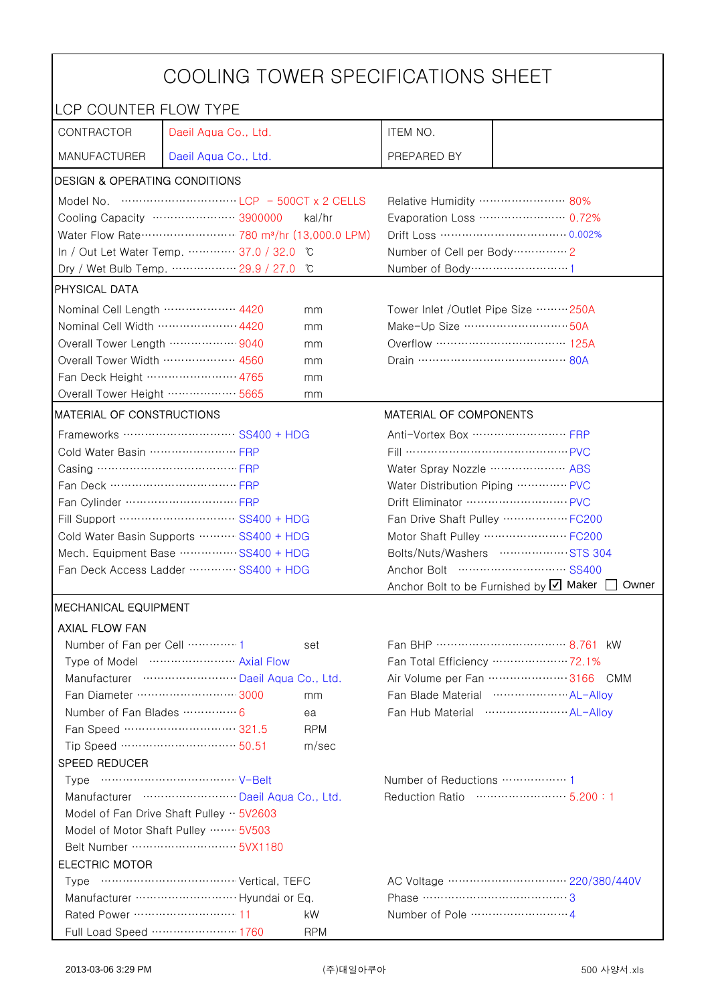| COOLING TOWER SPECIFICATIONS SHEET                                               |                                       |                                |                                                     |                                                  |  |
|----------------------------------------------------------------------------------|---------------------------------------|--------------------------------|-----------------------------------------------------|--------------------------------------------------|--|
| LCP COUNTER FLOW TYPE                                                            |                                       |                                |                                                     |                                                  |  |
| CONTRACTOR                                                                       | Daeil Aqua Co., Ltd.                  |                                | ITEM NO.                                            |                                                  |  |
| <b>MANUFACTURER</b>                                                              | Daeil Aqua Co., Ltd.                  |                                | PREPARED BY                                         |                                                  |  |
| DESIGN & OPERATING CONDITIONS                                                    |                                       |                                |                                                     |                                                  |  |
|                                                                                  |                                       |                                | Relative Humidity …………………… 80%                      |                                                  |  |
| Cooling Capacity ………………… 3900000<br>kal/hr                                       |                                       |                                | Evaporation Loss ………………… 0.72%                      |                                                  |  |
| Water Flow Rate ·························· 780 m <sup>3</sup> /hr (13,000.0 LPM) |                                       |                                | Drift Loss …………………………… 0.002%                       |                                                  |  |
|                                                                                  | In / Out Let Water Temp.  37.0 / 32.0 | °C                             | Number of Cell per Body ··············· 2           |                                                  |  |
|                                                                                  | Dry / Wet Bulb Temp.  29.9 / 27.0     | °C                             | Number of Body ······························1      |                                                  |  |
| <b>PHYSICAL DATA</b>                                                             |                                       |                                |                                                     |                                                  |  |
| Nominal Cell Length ……………… 4420<br>mm                                            |                                       |                                | Tower Inlet / Outlet Pipe Size  250A                |                                                  |  |
| Nominal Cell Width  4420                                                         |                                       | mm                             | Make-Up Size ………………………… 50A                         |                                                  |  |
| Overall Tower Length  9040                                                       |                                       | mm                             | Overflow …………………………… 125A                           |                                                  |  |
| Overall Tower Width  4560                                                        |                                       | mm                             |                                                     |                                                  |  |
| Fan Deck Height …………………… 4765                                                    |                                       | mm                             |                                                     |                                                  |  |
| Overall Tower Height ……………… 5665                                                 |                                       | mm                             |                                                     |                                                  |  |
| <b>MATERIAL OF CONSTRUCTIONS</b>                                                 |                                       |                                | MATERIAL OF COMPONENTS                              |                                                  |  |
|                                                                                  | Frameworks ……………………… SS400 + HDG      |                                | Anti-Vortex Box ······························· FRP |                                                  |  |
| Cold Water Basin  FRP                                                            |                                       |                                | Fill …………………………………… PVC                             |                                                  |  |
| Casing ………………………………… FRP                                                         |                                       |                                | Water Spray Nozzle ………………… ABS                      |                                                  |  |
| Fan Deck …………………………… FRP                                                         |                                       | Water Distribution Piping  PVC |                                                     |                                                  |  |
|                                                                                  |                                       | Drift Eliminator ……………………… PVC |                                                     |                                                  |  |
| Fill Support ………………………… SS400 + HDG                                              |                                       |                                | Fan Drive Shaft Pulley  FC200                       |                                                  |  |
| Cold Water Basin Supports  SS400 + HDG                                           |                                       | Motor Shaft Pulley  FC200      |                                                     |                                                  |  |
| Mech. Equipment Base SS400 + HDG                                                 |                                       | Bolts/Nuts/Washers  STS 304    |                                                     |                                                  |  |
| Fan Deck Access Ladder ………… SS400 + HDG                                          |                                       |                                | Anchor Bolt to be Furnished by Ø Maker<br>Owner     |                                                  |  |
| <b>MECHANICAL EQUIPMENT</b>                                                      |                                       |                                |                                                     |                                                  |  |
| <b>AXIAL FLOW FAN</b>                                                            |                                       |                                |                                                     |                                                  |  |
| Number of Fan per Cell 1                                                         |                                       | set                            |                                                     | Fan BHP ……………………………… 8.761 kW                    |  |
|                                                                                  | Type of Model  Axial Flow             |                                |                                                     | Fan Total Efficiency ····················· 72.1% |  |
|                                                                                  | Manufacturer  Daeil Aqua Co., Ltd.    |                                |                                                     | Air Volume per Fan  3166 CMM                     |  |
|                                                                                  | Fan Diameter ……………………… 3000           | mm                             |                                                     | Fan Blade Material  AL-Allov                     |  |
| Number of Fan Blades  6                                                          |                                       | ea                             |                                                     | Fan Hub Material  AL-Allov                       |  |
|                                                                                  | Fan Speed ………………………… 321.5            | <b>RPM</b>                     |                                                     |                                                  |  |
|                                                                                  | Tip Speed …………………………… 50.51           | m/sec                          |                                                     |                                                  |  |
| SPEED REDUCER                                                                    |                                       |                                |                                                     |                                                  |  |
|                                                                                  |                                       |                                |                                                     |                                                  |  |
| Manufacturer  Daeil Aqua Co., Ltd.                                               |                                       |                                | Reduction Ratio ……………………… 5.200:1                   |                                                  |  |
| Model of Fan Drive Shaft Pulley $\cdot \cdot$ 5V2603                             |                                       |                                |                                                     |                                                  |  |
| Model of Motor Shaft Pulley  5V503                                               |                                       |                                |                                                     |                                                  |  |
|                                                                                  |                                       |                                |                                                     |                                                  |  |
| <b>ELECTRIC MOTOR</b>                                                            |                                       |                                |                                                     |                                                  |  |
|                                                                                  |                                       |                                |                                                     |                                                  |  |
|                                                                                  |                                       |                                |                                                     |                                                  |  |
| Rated Power ………………………… 11                                                        |                                       | kW                             |                                                     |                                                  |  |
|                                                                                  | Full Load Speed ………………… 1760          | <b>RPM</b>                     |                                                     |                                                  |  |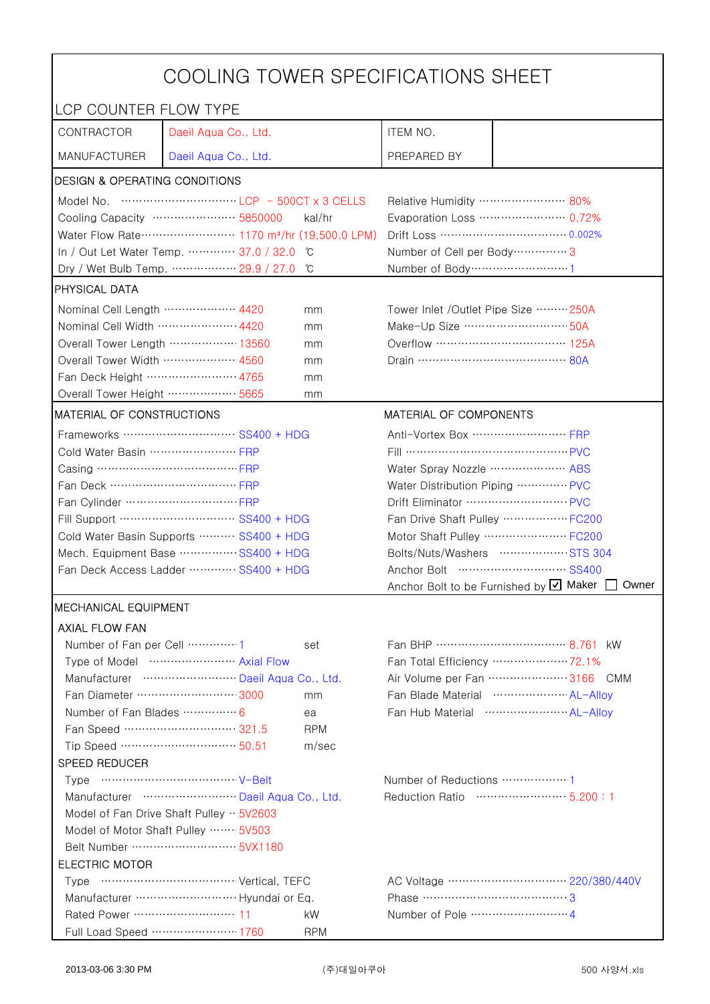| COOLING TOWER SPECIFICATIONS SHEET                   |                                                                                                                                                                                                                                                                                                                                      |                                   |                                                |                                                      |  |
|------------------------------------------------------|--------------------------------------------------------------------------------------------------------------------------------------------------------------------------------------------------------------------------------------------------------------------------------------------------------------------------------------|-----------------------------------|------------------------------------------------|------------------------------------------------------|--|
| LCP COUNTER FLOW TYPE                                |                                                                                                                                                                                                                                                                                                                                      |                                   |                                                |                                                      |  |
| CONTRACTOR                                           | Daeil Aqua Co., Ltd.                                                                                                                                                                                                                                                                                                                 |                                   | ITEM NO.                                       |                                                      |  |
| <b>MANUFACTURER</b>                                  | Daeil Aqua Co., Ltd.                                                                                                                                                                                                                                                                                                                 |                                   | PREPARED BY                                    |                                                      |  |
| <b>DESIGN &amp; OPERATING CONDITIONS</b>             |                                                                                                                                                                                                                                                                                                                                      |                                   |                                                |                                                      |  |
|                                                      | Model No. $\cdots$ $\cdots$ $\cdots$ $\cdots$ $\cdots$ $\cdots$ $\cdots$ $\cdots$ $\cdots$ $\cdots$ $\cdots$ $\cdots$ $\cdots$ $\cdots$ $\cdots$ $\cdots$ $\cdots$ $\cdots$ $\cdots$ $\cdots$ $\cdots$ $\cdots$ $\cdots$ $\cdots$ $\cdots$ $\cdots$ $\cdots$ $\cdots$ $\cdots$ $\cdots$ $\cdots$ $\cdots$ $\cdots$ $\cdots$ $\cdots$ |                                   | Relative Humidity …………………… 80%                 |                                                      |  |
|                                                      | Cooling Capacity …………………… 5850000                                                                                                                                                                                                                                                                                                    | kal/hr                            |                                                | Evaporation Loss ………………… 0.72%                       |  |
|                                                      | Water Flow Rate ························ 1170 m <sup>3</sup> /hr (19,500.0 LPM)                                                                                                                                                                                                                                                      |                                   |                                                |                                                      |  |
|                                                      | In / Out Let Water Temp.  37.0 / 32.0                                                                                                                                                                                                                                                                                                | C                                 | Number of Cell per Body ················ 3     |                                                      |  |
|                                                      | Dry / Wet Bulb Temp.  29.9 / 27.0                                                                                                                                                                                                                                                                                                    | °C                                | Number of Body ······························1 |                                                      |  |
| <b>PHYSICAL DATA</b>                                 |                                                                                                                                                                                                                                                                                                                                      |                                   |                                                |                                                      |  |
| Nominal Cell Length  4420<br>mm                      |                                                                                                                                                                                                                                                                                                                                      |                                   | Tower Inlet /Outlet Pipe Size ……… 250A         |                                                      |  |
| Nominal Cell Width  4420                             |                                                                                                                                                                                                                                                                                                                                      | mm                                | Make-Up Size ………………………… 50A                    |                                                      |  |
|                                                      | Overall Tower Length ……………… 13560                                                                                                                                                                                                                                                                                                    | mm                                | Overflow …………………………… 125A                      |                                                      |  |
| Overall Tower Width  4560                            |                                                                                                                                                                                                                                                                                                                                      | mm                                |                                                |                                                      |  |
| Fan Deck Height …………………… 4765                        |                                                                                                                                                                                                                                                                                                                                      | mm                                |                                                |                                                      |  |
| Overall Tower Height ……………… 5665                     |                                                                                                                                                                                                                                                                                                                                      | mm                                |                                                |                                                      |  |
| MATERIAL OF CONSTRUCTIONS                            |                                                                                                                                                                                                                                                                                                                                      |                                   | MATERIAL OF COMPONENTS                         |                                                      |  |
|                                                      | Frameworks  SS400 + HDG                                                                                                                                                                                                                                                                                                              |                                   | Anti-Vortex Box …………………… FRP                   |                                                      |  |
| Cold Water Basin  FRP                                |                                                                                                                                                                                                                                                                                                                                      |                                   | Fill …………………………………… PVC                        |                                                      |  |
| Casing ………………………………… FRP                             |                                                                                                                                                                                                                                                                                                                                      |                                   | Water Spray Nozzle ………………… ABS                 |                                                      |  |
| Fan Deck …………………………… FRP                             |                                                                                                                                                                                                                                                                                                                                      | Water Distribution Piping  PVC    |                                                |                                                      |  |
|                                                      |                                                                                                                                                                                                                                                                                                                                      | Drift Eliminator ……………………… PVC    |                                                |                                                      |  |
| Fill Support ………………………… SS400 + HDG                  |                                                                                                                                                                                                                                                                                                                                      | Fan Drive Shaft Pulley  FC200     |                                                |                                                      |  |
| Cold Water Basin Supports  SS400 + HDG               |                                                                                                                                                                                                                                                                                                                                      | Motor Shaft Pulley  FC200         |                                                |                                                      |  |
| Mech. Equipment Base  SS400 + HDG                    |                                                                                                                                                                                                                                                                                                                                      | Bolts/Nuts/Washers  STS 304       |                                                |                                                      |  |
| Fan Deck Access Ladder  SS400 + HDG                  |                                                                                                                                                                                                                                                                                                                                      |                                   | Anchor Bolt to be Furnished by Ø Maker         |                                                      |  |
|                                                      |                                                                                                                                                                                                                                                                                                                                      |                                   |                                                | Owner                                                |  |
| <b>MECHANICAL EQUIPMENT</b><br><b>AXIAL FLOW FAN</b> |                                                                                                                                                                                                                                                                                                                                      |                                   |                                                |                                                      |  |
| Number of Fan per Cell  1                            |                                                                                                                                                                                                                                                                                                                                      |                                   |                                                |                                                      |  |
|                                                      | Type of Model  Axial Flow                                                                                                                                                                                                                                                                                                            | set                               |                                                | Fan Total Efficiency ………………… 72.1%                   |  |
|                                                      | Manufacturer  Daeil Aqua Co., Ltd.                                                                                                                                                                                                                                                                                                   |                                   |                                                | Air Volume per Fan  3166 CMM                         |  |
|                                                      | Fan Diameter …………………… 3000                                                                                                                                                                                                                                                                                                           | mm                                |                                                | Fan Blade Material ······················ AL-Allov   |  |
| Number of Fan Blades  6                              |                                                                                                                                                                                                                                                                                                                                      | ea                                |                                                | Fan Hub Material ·························· AL-Alloy |  |
|                                                      | Fan Speed ………………………… 321.5                                                                                                                                                                                                                                                                                                           | <b>RPM</b>                        |                                                |                                                      |  |
|                                                      | Tip Speed …………………………… 50.51                                                                                                                                                                                                                                                                                                          | m/sec                             |                                                |                                                      |  |
| <b>SPEED REDUCER</b>                                 |                                                                                                                                                                                                                                                                                                                                      |                                   |                                                |                                                      |  |
|                                                      |                                                                                                                                                                                                                                                                                                                                      |                                   |                                                |                                                      |  |
| Manufacturer  Daeil Aqua Co., Ltd.                   |                                                                                                                                                                                                                                                                                                                                      | Reduction Ratio ……………………… 5.200:1 |                                                |                                                      |  |
| Model of Fan Drive Shaft Pulley $\cdot \cdot$ 5V2603 |                                                                                                                                                                                                                                                                                                                                      |                                   |                                                |                                                      |  |
| Model of Motor Shaft Pulley  5V503                   |                                                                                                                                                                                                                                                                                                                                      |                                   |                                                |                                                      |  |
| Belt Number ………………………… 5VX1180                       |                                                                                                                                                                                                                                                                                                                                      |                                   |                                                |                                                      |  |
| <b>ELECTRIC MOTOR</b>                                |                                                                                                                                                                                                                                                                                                                                      |                                   |                                                |                                                      |  |
|                                                      |                                                                                                                                                                                                                                                                                                                                      |                                   |                                                |                                                      |  |
| Phase ……………………………………3                                |                                                                                                                                                                                                                                                                                                                                      |                                   |                                                |                                                      |  |
| Rated Power ………………………… 11                            |                                                                                                                                                                                                                                                                                                                                      | kW.                               |                                                |                                                      |  |
|                                                      | Full Load Speed ………………… 1760                                                                                                                                                                                                                                                                                                         | <b>RPM</b>                        |                                                |                                                      |  |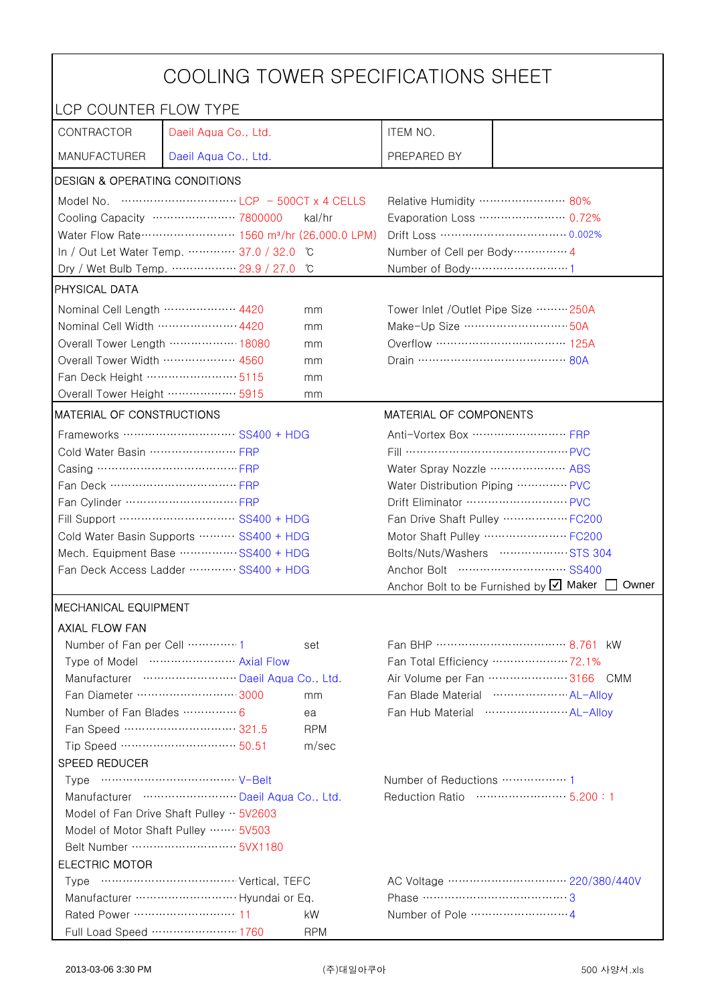| COOLING TOWER SPECIFICATIONS SHEET                   |                                                                                                                                                                                                                                                                                                                                      |                                   |                                                |                                                      |  |
|------------------------------------------------------|--------------------------------------------------------------------------------------------------------------------------------------------------------------------------------------------------------------------------------------------------------------------------------------------------------------------------------------|-----------------------------------|------------------------------------------------|------------------------------------------------------|--|
| LCP COUNTER FLOW TYPE                                |                                                                                                                                                                                                                                                                                                                                      |                                   |                                                |                                                      |  |
| CONTRACTOR                                           | Daeil Aqua Co., Ltd.                                                                                                                                                                                                                                                                                                                 |                                   | ITEM NO.                                       |                                                      |  |
| <b>MANUFACTURER</b>                                  | Daeil Aqua Co., Ltd.                                                                                                                                                                                                                                                                                                                 |                                   | PREPARED BY                                    |                                                      |  |
| <b>DESIGN &amp; OPERATING CONDITIONS</b>             |                                                                                                                                                                                                                                                                                                                                      |                                   |                                                |                                                      |  |
|                                                      | Model No. $\cdots$ $\cdots$ $\cdots$ $\cdots$ $\cdots$ $\cdots$ $\cdots$ $\cdots$ $\cdots$ $\cdots$ $\cdots$ $\cdots$ $\cdots$ $\cdots$ $\cdots$ $\cdots$ $\cdots$ $\cdots$ $\cdots$ $\cdots$ $\cdots$ $\cdots$ $\cdots$ $\cdots$ $\cdots$ $\cdots$ $\cdots$ $\cdots$ $\cdots$ $\cdots$ $\cdots$ $\cdots$ $\cdots$ $\cdots$ $\cdots$ |                                   | Relative Humidity …………………… 80%                 |                                                      |  |
|                                                      | Cooling Capacity …………………… 7800000                                                                                                                                                                                                                                                                                                    | kal/hr                            |                                                | Evaporation Loss ………………… 0.72%                       |  |
|                                                      | Water Flow Rate ························ 1560 m <sup>3</sup> /hr (26,000.0 LPM)                                                                                                                                                                                                                                                      |                                   |                                                |                                                      |  |
|                                                      | In / Out Let Water Temp.  37.0 / 32.0                                                                                                                                                                                                                                                                                                | °C                                | Number of Cell per Body ··············· 4      |                                                      |  |
|                                                      | Dry / Wet Bulb Temp.  29.9 / 27.0                                                                                                                                                                                                                                                                                                    | °C                                | Number of Body ······························1 |                                                      |  |
| <b>PHYSICAL DATA</b>                                 |                                                                                                                                                                                                                                                                                                                                      |                                   |                                                |                                                      |  |
| Nominal Cell Length  4420<br>mm                      |                                                                                                                                                                                                                                                                                                                                      |                                   | Tower Inlet /Outlet Pipe Size ……… 250A         |                                                      |  |
| Nominal Cell Width  4420                             |                                                                                                                                                                                                                                                                                                                                      | mm                                | Make-Up Size ………………………… 50A                    |                                                      |  |
|                                                      | Overall Tower Length ……………… 18080                                                                                                                                                                                                                                                                                                    | mm                                | Overflow …………………………… 125A                      |                                                      |  |
| Overall Tower Width  4560                            |                                                                                                                                                                                                                                                                                                                                      | mm                                |                                                |                                                      |  |
| Fan Deck Height …………………… 5115                        |                                                                                                                                                                                                                                                                                                                                      | mm                                |                                                |                                                      |  |
| Overall Tower Height ……………… 5915                     |                                                                                                                                                                                                                                                                                                                                      | mm                                |                                                |                                                      |  |
| MATERIAL OF CONSTRUCTIONS                            |                                                                                                                                                                                                                                                                                                                                      |                                   | MATERIAL OF COMPONENTS                         |                                                      |  |
|                                                      | Frameworks  SS400 + HDG                                                                                                                                                                                                                                                                                                              |                                   | Anti-Vortex Box …………………… FRP                   |                                                      |  |
| Cold Water Basin  FRP                                |                                                                                                                                                                                                                                                                                                                                      |                                   | Fill …………………………………… PVC                        |                                                      |  |
| Casing …………………………………… FRP                            |                                                                                                                                                                                                                                                                                                                                      |                                   | Water Spray Nozzle ………………… ABS                 |                                                      |  |
| Fan Deck …………………………… FRP                             |                                                                                                                                                                                                                                                                                                                                      | Water Distribution Piping  PVC    |                                                |                                                      |  |
|                                                      |                                                                                                                                                                                                                                                                                                                                      | Drift Eliminator ……………………… PVC    |                                                |                                                      |  |
| Fill Support ………………………… SS400 + HDG                  |                                                                                                                                                                                                                                                                                                                                      | Fan Drive Shaft Pulley  FC200     |                                                |                                                      |  |
| Cold Water Basin Supports  SS400 + HDG               |                                                                                                                                                                                                                                                                                                                                      | Motor Shaft Pulley  FC200         |                                                |                                                      |  |
| Mech. Equipment Base  SS400 + HDG                    |                                                                                                                                                                                                                                                                                                                                      | Bolts/Nuts/Washers  STS 304       |                                                |                                                      |  |
| Fan Deck Access Ladder  SS400 + HDG                  |                                                                                                                                                                                                                                                                                                                                      |                                   | Anchor Bolt to be Furnished by Ø Maker         |                                                      |  |
|                                                      |                                                                                                                                                                                                                                                                                                                                      |                                   |                                                | Owner                                                |  |
| <b>MECHANICAL EQUIPMENT</b><br><b>AXIAL FLOW FAN</b> |                                                                                                                                                                                                                                                                                                                                      |                                   |                                                |                                                      |  |
| Number of Fan per Cell  1                            |                                                                                                                                                                                                                                                                                                                                      | set                               |                                                |                                                      |  |
|                                                      | Type of Model  Axial Flow                                                                                                                                                                                                                                                                                                            |                                   |                                                | Fan Total Efficiency ………………… 72.1%                   |  |
|                                                      | Manufacturer  Daeil Aqua Co., Ltd.                                                                                                                                                                                                                                                                                                   |                                   |                                                | Air Volume per Fan  3166 CMM                         |  |
|                                                      | Fan Diameter …………………… 3000                                                                                                                                                                                                                                                                                                           | mm                                |                                                | Fan Blade Material ······················ AL-Allov   |  |
| Number of Fan Blades  6                              |                                                                                                                                                                                                                                                                                                                                      | ea                                |                                                | Fan Hub Material ·························· AL-Alloy |  |
|                                                      | Fan Speed ………………………… 321.5                                                                                                                                                                                                                                                                                                           | <b>RPM</b>                        |                                                |                                                      |  |
|                                                      | Tip Speed …………………………… 50.51                                                                                                                                                                                                                                                                                                          | m/sec                             |                                                |                                                      |  |
| <b>SPEED REDUCER</b>                                 |                                                                                                                                                                                                                                                                                                                                      |                                   |                                                |                                                      |  |
|                                                      |                                                                                                                                                                                                                                                                                                                                      |                                   |                                                |                                                      |  |
| Manufacturer  Daeil Aqua Co., Ltd.                   |                                                                                                                                                                                                                                                                                                                                      | Reduction Ratio ……………………… 5.200:1 |                                                |                                                      |  |
| Model of Fan Drive Shaft Pulley $\cdot \cdot$ 5V2603 |                                                                                                                                                                                                                                                                                                                                      |                                   |                                                |                                                      |  |
| Model of Motor Shaft Pulley  5V503                   |                                                                                                                                                                                                                                                                                                                                      |                                   |                                                |                                                      |  |
| Belt Number ………………………… 5VX1180                       |                                                                                                                                                                                                                                                                                                                                      |                                   |                                                |                                                      |  |
| <b>ELECTRIC MOTOR</b>                                |                                                                                                                                                                                                                                                                                                                                      |                                   |                                                |                                                      |  |
|                                                      |                                                                                                                                                                                                                                                                                                                                      |                                   |                                                |                                                      |  |
|                                                      |                                                                                                                                                                                                                                                                                                                                      |                                   | Phase ……………………………………3                          |                                                      |  |
| Rated Power ………………………… 11                            |                                                                                                                                                                                                                                                                                                                                      | kW.                               |                                                |                                                      |  |
|                                                      | Full Load Speed ………………… 1760                                                                                                                                                                                                                                                                                                         | <b>RPM</b>                        |                                                |                                                      |  |